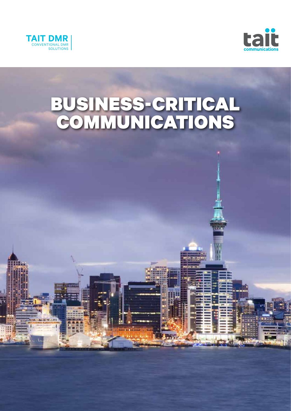



# BUSINESS-CRITICAL COMMUNICATIONS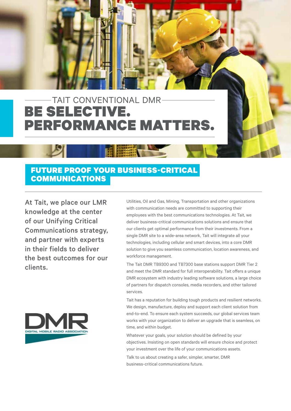# BE SELECTIVE. PERFORMANCE MATTERS. TAIT CONVENTIONAL DMR

# FUTURE PROOF YOUR BUSINESS-CRITICAL **COMMUNICATIONS**

At Tait, we place our LMR knowledge at the center of our Unifying Critical Communications strategy, and partner with experts in their fields to deliver the best outcomes for our clients.



Utilities, Oil and Gas, Mining, Transportation and other organizations with communication needs are committed to supporting their employees with the best communications technologies. At Tait, we deliver business-critical communications solutions and ensure that our clients get optimal performance from their investments. From a single DMR site to a wide-area network, Tait will integrate all your technologies, including cellular and smart devices, into a core DMR solution to give you seamless communication, location awareness, and workforce management.

The Tait DMR TB9300 and TB7300 base stations support DMR Tier 2 and meet the DMR standard for full interoperability. Tait offers a unique DMR ecosystem with industry leading software solutions, a large choice of partners for dispatch consoles, media recorders, and other tailored services.

Tait has a reputation for building tough products and resilient networks. We design, manufacture, deploy and support each client solution from end-to-end. To ensure each system succeeds, our global services team works with your organization to deliver an upgrade that is seamless, on time, and within budget.

Whatever your goals, your solution should be defined by your objectives. Insisting on open standards will ensure choice and protect your investment over the life of your communications assets.

Talk to us about creating a safer, simpler, smarter, DMR business-critical communications future.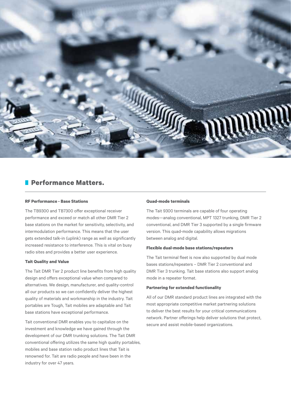

## **Performance Matters.**

#### **RF Performance - Base Stations**

The TB9300 and TB7300 offer exceptional receiver performance and exceed or match all other DMR Tier 2 base stations on the market for sensitivity, selectivity, and intermodulation performance. This means that the user gets extended talk-in (uplink) range as well as significantly increased resistance to interference. This is vital on busy radio sites and provides a better user experience.

#### **Tait Quality and Value**

The Tait DMR Tier 2 product line benefits from high quality design and offers exceptional value when compared to alternatives. We design, manufacturer, and quality-control all our products so we can confidently deliver the highest quality of materials and workmanship in the industry. Tait portables are Tough, Tait mobiles are adaptable and Tait base stations have exceptional performance.

Tait conventional DMR enables you to capitalize on the investment and knowledge we have gained through the development of our DMR trunking solutions. The Tait DMR conventional offering utilizes the same high quality portables, mobiles and base station radio product lines that Tait is renowned for. Tait are radio people and have been in the industry for over 47 years.

#### **Quad-mode terminals**

The Tait 9300 terminals are capable of four operating modes—analog conventional, MPT 1327 trunking, DMR Tier 2 conventional, and DMR Tier 3 supported by a single firmware version. This quad-mode capability allows migrations between analog and digital.

#### **Flexible dual-mode base stations/repeaters**

The Tait terminal fleet is now also supported by dual mode bases stations/repeaters – DMR Tier 2 conventional and DMR Tier 3 trunking. Tait base stations also support analog mode in a repeater format.

#### **Partnering for extended functionality**

All of our DMR standard product lines are integrated with the most appropriate competitive market partnering solutions to deliver the best results for your critical communications network. Partner offerings help deliver solutions that protect, secure and assist mobile-based organizations.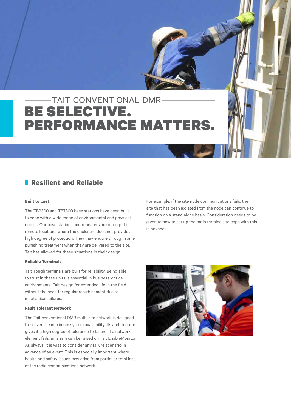# BE SELECTIVE. **PERFORMANCE MATTEI** TAIT CONVENTIONAL DMR

# **Resilient and Reliable**

#### **Built to Last**

The TB9300 and TB7300 base stations have been built to cope with a wide range of environmental and physical duress. Our base stations and repeaters are often put in remote locations where the enclosure does not provide a high degree of protection. They may endure through some punishing treatment when they are delivered to the site. Tait has allowed for these situations in their design.

#### **Reliable Terminals**

Tait Tough terminals are built for reliability. Being able to trust in these units is essential in business-critical environments. Tait design for extended life in the field without the need for regular refurbishment due to mechanical failures.

#### **Fault Tolerant Network**

The Tait conventional DMR multi-site network is designed to deliver the maximum system availability. Its architecture gives it a high degree of tolerance to failure. If a network element fails, an alarm can be raised on Tait EnableMonitor. As always, it is wise to consider any failure scenario in advance of an event. This is especially important where health and safety issues may arise from partial or total loss of the radio communications network.

For example, if the site node communications fails, the site that has been isolated from the node can continue to function on a stand alone basis. Consideration needs to be given to how to set up the radio terminals to cope with this in advance.

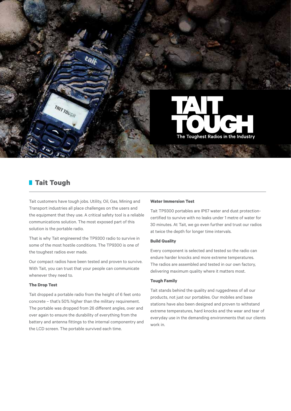

# **Tait Tough**

TRIT TOUGH

Tait customers have tough jobs. Utility, Oil, Gas, Mining and Transport industries all place challenges on the users and the equipment that they use. A critical safety tool is a reliable communications solution. The most exposed part of this solution is the portable radio.

That is why Tait engineered the TP9300 radio to survive in some of the most hostile conditions. The TP9300 is one of the toughest radios ever made.

Our compact radios have been tested and proven to survive. With Tait, you can trust that your people can communicate whenever they need to.

#### **The Drop Test**

Tait dropped a portable radio from the height of 6 feet onto concrete – that's 50% higher than the military requirement. The portable was dropped from 26 different angles, over and over again to ensure the durability of everything from the battery and antenna fittings to the internal componentry and the LCD screen. The portable survived each time.

#### **Water Immersion Test**

Tait TP9300 portables are IP67 water and dust protectioncertified to survive with no leaks under 1 metre of water for 30 minutes. At Tait, we go even further and trust our radios at twice the depth for longer time intervals.

#### **Build Quality**

Every component is selected and tested so the radio can endure harder knocks and more extreme temperatures. The radios are assembled and tested in our own factory, delivering maximum quality where it matters most.

#### **Tough Family**

Tait stands behind the quality and ruggedness of all our products, not just our portables. Our mobiles and base stations have also been designed and proven to withstand extreme temperatures, hard knocks and the wear and tear of everyday use in the demanding environments that our clients work in.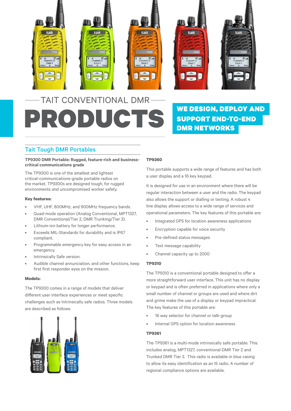

# **PRODUCTS** WE DESIGN, DEPLOY AND TAIT CONVENTIONAL DMR

# SUPPORT END-TO-END DMR NETWORKS

# Tait Tough DMR Portables

#### **TP9300 DMR Portable: Rugged, feature-rich and businesscritical communications grade**

The TP9300 is one of the smallest and lightest critical-communications-grade portable radios on the market. TP9300s are designed tough, for rugged environments and uncompromised worker safety.

#### **Key features:**

- VHF, UHF, 800MHz, and 900MHz frequency bands.
- Quad-mode operation (Analog Conventional, MPT1327, DMR Conventional/Tier 2, DMR Trunking/Tier 3).
- Lithium-ion battery for longer performance.
- Exceeds MIL-Standards for durability and is IP67 compliant.
- Programmable emergency key for easy access in an emergency.
- Intrinsically Safe version.
- Audible channel annunciation, and other functions, keep first first responder eyes on the mission.

#### **Models:**

The TP9300 comes in a range of models that deliver different user interface experiences or meet specific challenges such as Intrinsically safe radios. Three models are described as follows:



#### **TP9360**

This portable supports a wide range of features and has both a user display and a 16 key keypad.

It is designed for use in an environment where there will be regular interaction between a user and the radio. The keypad also allows the support or dialling or texting. A robust 4 line display allows access to a wide range of services and operational parameters. The key features of this portable are:

- Integrated GPS for location awareness applications
- Encryption capable for voice security
- Pre-defined status messages
- Text message capability
- Channel capacity up to 2000

#### **TP9310**

The TP9310 is a conventional portable designed to offer a more straightforward user interface. This unit has no display or keypad and is often preferred in applications where only a small number of channel or groups are used and where dirt and grime make the use of a display or keypad impractical. The key features of this portable are:

- 16 way selector for channel or talk-group
- Internal GPS option for location awareness

#### **TP9361**

The TP9361 is a multi-mode intrinsically safe portable. This includes analog, MPT1327, conventional DMR Tier 2 and Trunked DMR Tier 3. This radio is available in blue casing to allow its easy identification as an IS radio. A number of regional compliance options are available.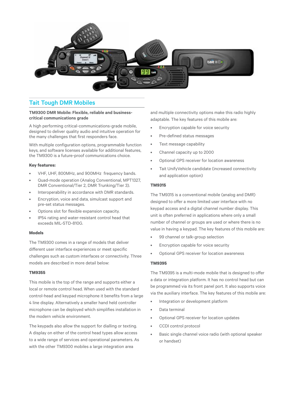

### Tait Tough DMR Mobiles

#### **TM9300 DMR Mobile: Flexible, reliable and businesscritical communications grade**

A high performing critical-communications-grade mobile, designed to deliver quality audio and intuitive operation for the many challenges that first responders face.

With multiple configuration options, programmable function keys, and software licenses available for additional features, the TM9300 is a future-proof communications choice.

#### **Key features:**

- VHF, UHF, 800MHz, and 900MHz frequency bands.
- Quad-mode operation (Analog Conventional, MPT1327, DMR Conventional/Tier 2, DMR Trunking/Tier 3).
- Interoperability in accordance with DMR standards.
- Encryption, voice and data, simulcast support and pre-set status messages.
- Options slot for flexible expansion capacity.
- IP54 rating and water-resistant control head that exceeds MIL-STD-810G.

#### **Models**

The TM9300 comes in a range of models that deliver different user interface experiences or meet specific challenges such as custom interfaces or connectivity. Three models are described in more detail below:

#### **TM9355**

This mobile is the top of the range and supports either a local or remote control head. When used with the standard control-head and keypad microphone it benefits from a large 4 line display. Alternatively a smaller hand held controller microphone can be deployed which simplifies installation in the modern vehicle environment.

The keypads also allow the support for dialling or texting. A display on either of the control head types allow access to a wide range of services and operational parameters. As with the other TM9300 mobiles a large integration area

and multiple connectivity options make this radio highly adaptable. The key features of this mobile are:

- Encryption capable for voice security
- Pre-defined status messages
- Text message capability
- Channel capacity up to 2000
- Optional GPS receiver for location awareness
- Tait UnifyVehicle candidate (increased connectivity and application option)

#### **TM9315**

The TM9315 is a conventional mobile (analog and DMR) designed to offer a more limited user interface with no keypad access and a digital channel number display. This unit is often preferred in applications where only a small number of channel or groups are used or where there is no value in having a keypad. The key features of this mobile are:

- 99 channel or talk-group selection
- Encryption capable for voice security
- Optional GPS receiver for location awareness

#### **TM9395**

The TM9395 is a multi-mode mobile that is designed to offer a data or integration platform. It has no control head but can be programmed via its front panel port. It also supports voice via the auxiliary interface. The key features of this mobile are:

- Integration or development platform
- Data terminal
- Optional GPS receiver for location updates
- CCDI control protocol
- Basic single channel voice radio (with optional speaker or handset)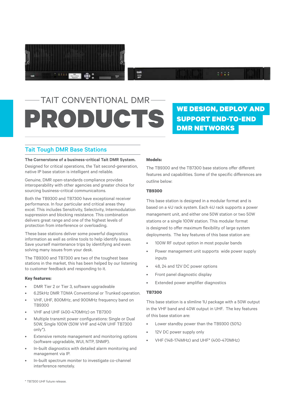

# **PRODUCTS** WE DESIGN, DEPLOY AND TAIT CONVENTIONAL DMR

# SUPPORT END-TO-END DMR NETWORKS

 $\mathbf{r}$ 

## Tait Tough DMR Base Stations

#### **The Cornerstone of a business-critical Tait DMR System.**

Designed for critical operations, the Tait second-generation, native IP base station is intelligent and reliable.

Genuine, DMR open-standards compliance provides interoperability with other agencies and greater choice for sourcing business-critical communicaitons.

Both the TB9300 and TB7300 have exceptional receiver performance. In four particular and critical areas they excel. This includes Sensitivity, Selectivity, Intermodulation suppression and blocking resistance. This combination delivers great range and one of the highest levels of protection from interference or overloading.

These base stations deliver some powerful diagnostics information as well as online tools to help identify issues. Save yourself maintenance trips by identifying and even solving many issues from your desk.

The TB9300 and TB7300 are two of the toughest base stations in the market, this has been helped by our listening to customer feedback and responding to it.

#### **Key features:**

- DMR Tier 2 or Tier 3, software upgradeable
- 6.25kHz DMR TDMA Conventional or Trunked operation.
- VHF, UHF, 800MHz, and 900MHz frequency band on TB9300
- VHF and UHF (400-470MHz) on TB7300
- Multiple transmit power configurations: Single or Dual 50W, Single 100W (50W VHF and 40W UHF TB7300 only\*).
- Extensive remote management and monitoring options (software upgradable, WUI, NTP, SNMP).
- In-built diagnostics with detailed alarm monitoring and management via IP.
- In-built spectrum moniter to investigate co-channel interference remotely.

#### **Models:**

tait<br>""

The TB9300 and the TB7300 base stations offer different features and capabilities. Some of the specific differences are outline below:

#### **TB9300**

This base station is designed in a modular format and is based on a 4U rack system. Each 4U rack supports a power management unit, and either one 50W station or two 50W stations or a single 100W station. This modular format is designed to offer maximum flexibility of large system deployments. The key features of this base station are:

- 100W RF output option in most popular bands
- Power management unit supports wide power supply inputs
- 48, 24 and 12V DC power options
- Front panel diagnostic display
- Extended power amplifier diagnostics

#### **TB7300**

This base station is a slimline 1U package with a 50W output in the VHF band and 40W output in UHF. The key features of this base station are:

- Lower standby power than the TB9300 (50%)
- 12V DC power supply only
- VHF (148-174MHz) and UHF\* (400-470MHz)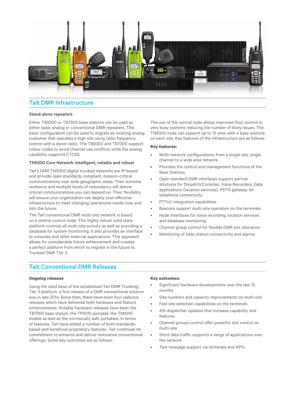

# Tait DMR Infrastructure

#### **Stand-alone repeaters**

Either TB9300 or TB7300 base stations can be used as either basic analog or conventional DMR repeaters. This basic configuration can be used to migrate an existing analog customer that operates a high site using radio frequency control with a donor radio. The TB9300 and TB7300 support colour codes to avoid channel use conflicts while the analog capability supports CTCSS.

#### **TN9300 Core Network: Intelligent, reliable and robust**

Tait's DMR TN9300 digital trunked networks are IP-based and provide open standards compliant, mission-critical communications over wide geographic areas. Their extreme resilience and multiple levels of redundancy will deliver critical communications you can depend on. Their flexibility will ensure your organization can deploy cost-effective infrastructure to meet changing operational needs now, and into the future.

The Tait conventional DMR multi-site network is based on a central control node. This highly robust solid state platform controls all multi-site activity as well as providing a database for system monitoring. It also provides an interface to consoles and other external applications. This approach allows for considerable future enhancement and creates a perfect platform from which to migrate in the future to Trunked DMR Tier 3.

### Tait Conventional DMR Releases

#### **Ongoing releases**

Using the solid base of the established Tait DMR Trunking Tier 3 platform, a first release of a DMR conventional solution was in late 2014. Since then, there have been four cadence releases which have delivered both hardware and feature enhancements. Notable hardware releases have been the TB7300 base station, the TP9310 portable, the TM9315 mobile as well as the intrinsically safe portables. In terms of features, Tait have added a number of both standardsbased and beneficial proprietary features. Tait continues its commitment to enhance and deliver innovative conventional offerings. Some key outcomes are as follows:

The use of the central node allows improved floor control in very busy systems reducing the number of likely issues. The TN9300 node can support up to 12 sites with 4 base stations on each site. Key features of the infrastructure are as follows:

#### **Key features:**

- Multi-network configurations: from a single site, single channel to a wide area network.
- Provides the control and management functions of the Base Stations.
- Open standard DMR interfaces support partner solutions for Dispatch/Consoles, Voice Recorders, Data applications (location services), PSTN gateway for telephone connectivity.
- PTToC integration capabilities
- Beacons support multi-site operation on the terminals
- Node interfaces for voice recording, location services and database monitoring
- Channel group control for flexible DMR slot allocation
- Monitoring of base station connectivity and alarms

#### **Key outcomes:**

- Significant hardware developments over the last 12 months
- Site numbers and capacity improvements on multi-site
- Fast site selection capabilities on the terminals
- AIS dispatcher updates that increase capability and features
- Channel groups control offer powerful slot control on multi-site
- Short data traffic supports a range of applications over the network
- Text message support via terminals and API's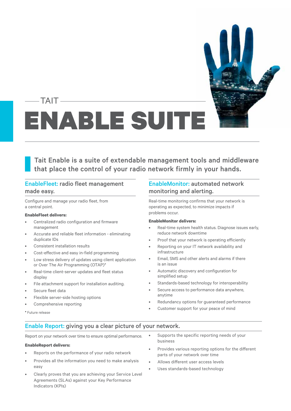# ENABLE SUIT TAIT

Tait Enable is a suite of extendable management tools and middleware that place the control of your radio network firmly in your hands.

## EnableFleet: radio fleet management made easy.

Configure and manage your radio fleet, from a central point.

#### **EnableFleet delivers:**

- Centralized radio configuration and firmware management
- Accurate and reliable fleet information eliminating duplicate IDs
- Consistent installation results
- Cost-effective and easy in-field programming
- Low stress delivery of updates using client application or Over The Air Programming (OTAP)\*
- Real-time client-server updates and fleet status display
- File attachment support for installation auditing.
- Secure fleet data
- Flexible server-side hosting options
- Comprehensive reporting

### EnableMonitor: automated network monitoring and alerting.

Real-time monitoring confirms that your network is operating as expected, to minimize impacts if problems occur.

#### **EnableMonitor delivers:**

- Real-time system health status. Diagnose issues early, reduce network downtime
- Proof that your network is operating efficiently
- Reporting on your IT network availability and infrastructure
- Email, SMS and other alerts and alarms if there is an issue
- Automatic discovery and configuration for simplified setup
- Standards-based technology for interoperability
- Secure access to performance data anywhere, anytime
- Redundancy options for guaranteed performance
- Customer support for your peace of mind

\* Future release

### Enable Report: giving you a clear picture of your network.

Report on your network over time to ensure optimal performance.

#### **EnableReport delivers:**

- Reports on the performance of your radio network
- Provides all the information you need to make analysis easy
- Clearly proves that you are achieving your Service Level Agreements (SLAs) against your Key Performance Indicators (KPIs)
- Supports the specific reporting needs of your business
- Provides various reporting options for the different parts of your network over time
- Allows different user access levels
- Uses standards-based technology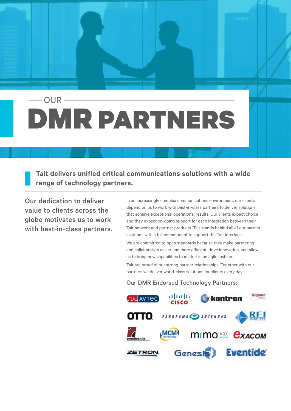# DMR PARTNERS OUR

**Tait delivers unified critical communications solutions with a wide range of technology partners.**

Our dedication to deliver value to clients across the globe motivates us to work with best-in-class partners. In an increasingly complex communications environment, our clients depend on us to work with best-in-class partners to deliver solutions that achieve exceptional operational results. Our clients expect choice and they expect on-going support for each integration between their Tait network and partner products. Tait stands behind all of our partner solutions with a full commitment to support the Tait interface.

We are committed to open standards because they make partnering and collaboration easier and more efficient, drive innovation, and allow us to bring new capabilities to market in an agile fashion.

Tait are proud of our strong partner relationships. Together with our partners we deliver world-class solutions for clients every day.

### Our DMR Endorsed Technology Partners: